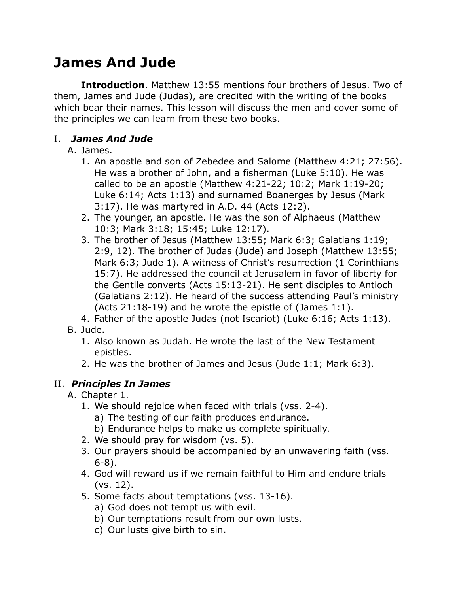# **James And Jude**

**Introduction**. Matthew 13:55 mentions four brothers of Jesus. Two of them, James and Jude (Judas), are credited with the writing of the books which bear their names. This lesson will discuss the men and cover some of the principles we can learn from these two books.

# I. *James And Jude*

# A. James.

- 1. An apostle and son of Zebedee and Salome (Matthew 4:21; 27:56). He was a brother of John, and a fisherman (Luke 5:10). He was called to be an apostle (Matthew 4:21-22; 10:2; Mark 1:19-20; Luke 6:14; Acts 1:13) and surnamed Boanerges by Jesus (Mark 3:17). He was martyred in A.D. 44 (Acts 12:2).
- 2. The younger, an apostle. He was the son of Alphaeus (Matthew 10:3; Mark 3:18; 15:45; Luke 12:17).
- 3. The brother of Jesus (Matthew 13:55; Mark 6:3; Galatians 1:19; 2:9, 12). The brother of Judas (Jude) and Joseph (Matthew 13:55; Mark 6:3; Jude 1). A witness of Christ's resurrection (1 Corinthians 15:7). He addressed the council at Jerusalem in favor of liberty for the Gentile converts (Acts 15:13-21). He sent disciples to Antioch (Galatians 2:12). He heard of the success attending Paul's ministry (Acts 21:18-19) and he wrote the epistle of (James 1:1).
- 4. Father of the apostle Judas (not Iscariot) (Luke 6:16; Acts 1:13). B. Jude.
	- 1. Also known as Judah. He wrote the last of the New Testament epistles.
	- 2. He was the brother of James and Jesus (Jude 1:1; Mark 6:3).

# II. *Principles In James*

A. Chapter 1.

- 1. We should rejoice when faced with trials (vss. 2-4).
	- a) The testing of our faith produces endurance.
	- b) Endurance helps to make us complete spiritually.
- 2. We should pray for wisdom (vs. 5).
- 3. Our prayers should be accompanied by an unwavering faith (vss. 6-8).
- 4. God will reward us if we remain faithful to Him and endure trials (vs. 12).
- 5. Some facts about temptations (vss. 13-16).
	- a) God does not tempt us with evil.
	- b) Our temptations result from our own lusts.
	- c) Our lusts give birth to sin.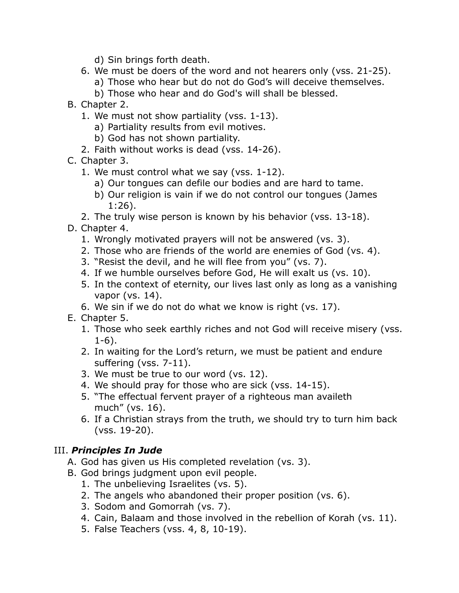- d) Sin brings forth death.
- 6. We must be doers of the word and not hearers only (vss. 21-25).
	- a) Those who hear but do not do God's will deceive themselves.
	- b) Those who hear and do God's will shall be blessed.
- B. Chapter 2.
	- 1. We must not show partiality (vss. 1-13).
		- a) Partiality results from evil motives.
		- b) God has not shown partiality.
	- 2. Faith without works is dead (vss. 14-26).
- C. Chapter 3.
	- 1. We must control what we say (vss. 1-12).
		- a) Our tongues can defile our bodies and are hard to tame.
		- b) Our religion is vain if we do not control our tongues (James 1:26).
	- 2. The truly wise person is known by his behavior (vss. 13-18).

D. Chapter 4.

- 1. Wrongly motivated prayers will not be answered (vs. 3).
- 2. Those who are friends of the world are enemies of God (vs. 4).
- 3. "Resist the devil, and he will flee from you" (vs. 7).
- 4. If we humble ourselves before God, He will exalt us (vs. 10).
- 5. In the context of eternity, our lives last only as long as a vanishing vapor (vs. 14).
- 6. We sin if we do not do what we know is right (vs. 17).

### E. Chapter 5.

- 1. Those who seek earthly riches and not God will receive misery (vss. 1-6).
- 2. In waiting for the Lord's return, we must be patient and endure suffering (vss. 7-11).
- 3. We must be true to our word (vs. 12).
- 4. We should pray for those who are sick (vss. 14-15).
- 5. "The effectual fervent prayer of a righteous man availeth much" (vs. 16).
- 6. If a Christian strays from the truth, we should try to turn him back (vss. 19-20).

## III. *Principles In Jude*

- A. God has given us His completed revelation (vs. 3).
- B. God brings judgment upon evil people.
	- 1. The unbelieving Israelites (vs. 5).
	- 2. The angels who abandoned their proper position (vs. 6).
	- 3. Sodom and Gomorrah (vs. 7).
	- 4. Cain, Balaam and those involved in the rebellion of Korah (vs. 11).
	- 5. False Teachers (vss. 4, 8, 10-19).